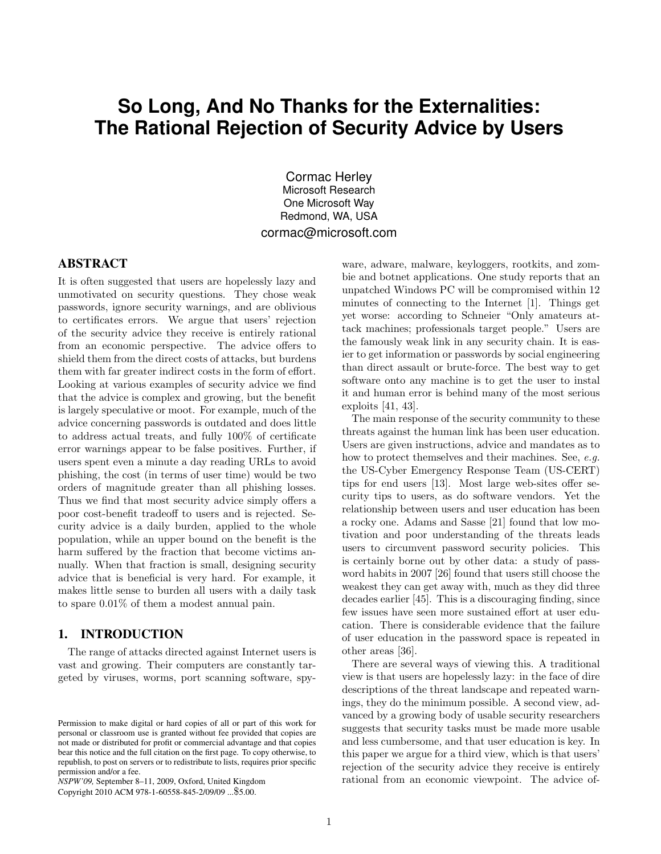# **So Long, And No Thanks for the Externalities: The Rational Rejection of Security Advice by Users**

Cormac Herley Microsoft Research One Microsoft Way Redmond, WA, USA cormac@microsoft.com

# ABSTRACT

It is often suggested that users are hopelessly lazy and unmotivated on security questions. They chose weak passwords, ignore security warnings, and are oblivious to certificates errors. We argue that users' rejection of the security advice they receive is entirely rational from an economic perspective. The advice offers to shield them from the direct costs of attacks, but burdens them with far greater indirect costs in the form of effort. Looking at various examples of security advice we find that the advice is complex and growing, but the benefit is largely speculative or moot. For example, much of the advice concerning passwords is outdated and does little to address actual treats, and fully 100% of certificate error warnings appear to be false positives. Further, if users spent even a minute a day reading URLs to avoid phishing, the cost (in terms of user time) would be two orders of magnitude greater than all phishing losses. Thus we find that most security advice simply offers a poor cost-benefit tradeoff to users and is rejected. Security advice is a daily burden, applied to the whole population, while an upper bound on the benefit is the harm suffered by the fraction that become victims annually. When that fraction is small, designing security advice that is beneficial is very hard. For example, it makes little sense to burden all users with a daily task to spare 0.01% of them a modest annual pain.

# 1. INTRODUCTION

The range of attacks directed against Internet users is vast and growing. Their computers are constantly targeted by viruses, worms, port scanning software, spy-

*NSPW'09,* September 8–11, 2009, Oxford, United Kingdom

Copyright 2010 ACM 978-1-60558-845-2/09/09 ...\$5.00.

ware, adware, malware, keyloggers, rootkits, and zombie and botnet applications. One study reports that an unpatched Windows PC will be compromised within 12 minutes of connecting to the Internet [1]. Things get yet worse: according to Schneier "Only amateurs attack machines; professionals target people." Users are the famously weak link in any security chain. It is easier to get information or passwords by social engineering than direct assault or brute-force. The best way to get software onto any machine is to get the user to instal it and human error is behind many of the most serious exploits [41, 43].

The main response of the security community to these threats against the human link has been user education. Users are given instructions, advice and mandates as to how to protect themselves and their machines. See, e.g. the US-Cyber Emergency Response Team (US-CERT) tips for end users [13]. Most large web-sites offer security tips to users, as do software vendors. Yet the relationship between users and user education has been a rocky one. Adams and Sasse [21] found that low motivation and poor understanding of the threats leads users to circumvent password security policies. This is certainly borne out by other data: a study of password habits in 2007 [26] found that users still choose the weakest they can get away with, much as they did three decades earlier [45]. This is a discouraging finding, since few issues have seen more sustained effort at user education. There is considerable evidence that the failure of user education in the password space is repeated in other areas [36].

There are several ways of viewing this. A traditional view is that users are hopelessly lazy: in the face of dire descriptions of the threat landscape and repeated warnings, they do the minimum possible. A second view, advanced by a growing body of usable security researchers suggests that security tasks must be made more usable and less cumbersome, and that user education is key. In this paper we argue for a third view, which is that users' rejection of the security advice they receive is entirely rational from an economic viewpoint. The advice of-

Permission to make digital or hard copies of all or part of this work for personal or classroom use is granted without fee provided that copies are not made or distributed for profit or commercial advantage and that copies bear this notice and the full citation on the first page. To copy otherwise, to republish, to post on servers or to redistribute to lists, requires prior specific permission and/or a fee.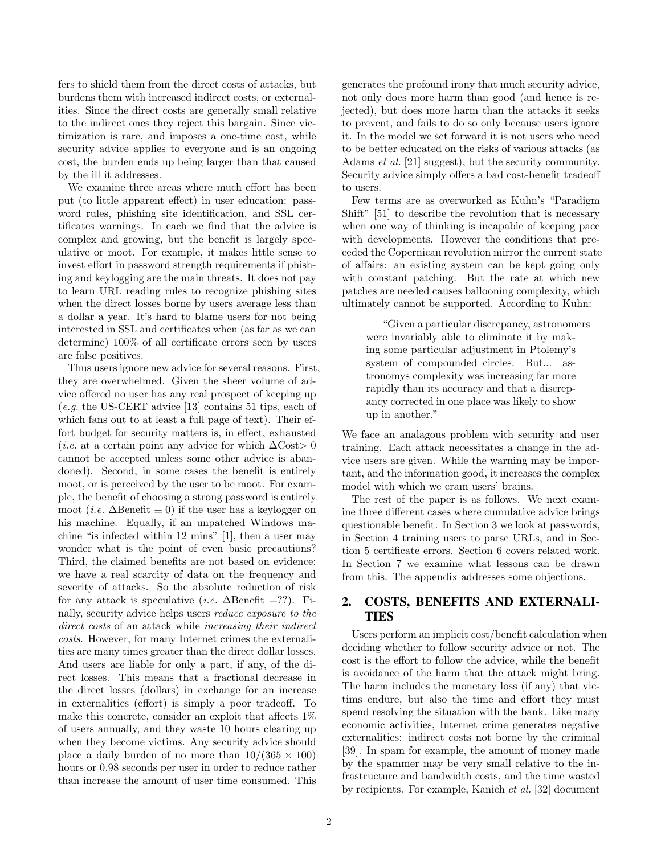fers to shield them from the direct costs of attacks, but burdens them with increased indirect costs, or externalities. Since the direct costs are generally small relative to the indirect ones they reject this bargain. Since victimization is rare, and imposes a one-time cost, while security advice applies to everyone and is an ongoing cost, the burden ends up being larger than that caused by the ill it addresses.

We examine three areas where much effort has been put (to little apparent effect) in user education: password rules, phishing site identification, and SSL certificates warnings. In each we find that the advice is complex and growing, but the benefit is largely speculative or moot. For example, it makes little sense to invest effort in password strength requirements if phishing and keylogging are the main threats. It does not pay to learn URL reading rules to recognize phishing sites when the direct losses borne by users average less than a dollar a year. It's hard to blame users for not being interested in SSL and certificates when (as far as we can determine) 100% of all certificate errors seen by users are false positives.

Thus users ignore new advice for several reasons. First, they are overwhelmed. Given the sheer volume of advice offered no user has any real prospect of keeping up (e.g. the US-CERT advice [13] contains 51 tips, each of which fans out to at least a full page of text). Their effort budget for security matters is, in effect, exhausted (*i.e.* at a certain point any advice for which  $\Delta \text{Cost} > 0$ cannot be accepted unless some other advice is abandoned). Second, in some cases the benefit is entirely moot, or is perceived by the user to be moot. For example, the benefit of choosing a strong password is entirely moot (*i.e.*  $\Delta$ Benefit  $\equiv$  0) if the user has a keylogger on his machine. Equally, if an unpatched Windows machine "is infected within 12 mins" [1], then a user may wonder what is the point of even basic precautions? Third, the claimed benefits are not based on evidence: we have a real scarcity of data on the frequency and severity of attacks. So the absolute reduction of risk for any attack is speculative (*i.e.*  $\Delta$ Benefit =??). Finally, security advice helps users reduce exposure to the direct costs of an attack while increasing their indirect costs. However, for many Internet crimes the externalities are many times greater than the direct dollar losses. And users are liable for only a part, if any, of the direct losses. This means that a fractional decrease in the direct losses (dollars) in exchange for an increase in externalities (effort) is simply a poor tradeoff. To make this concrete, consider an exploit that affects 1% of users annually, and they waste 10 hours clearing up when they become victims. Any security advice should place a daily burden of no more than  $10/(365 \times 100)$ hours or 0.98 seconds per user in order to reduce rather than increase the amount of user time consumed. This

2

generates the profound irony that much security advice, not only does more harm than good (and hence is rejected), but does more harm than the attacks it seeks to prevent, and fails to do so only because users ignore it. In the model we set forward it is not users who need to be better educated on the risks of various attacks (as Adams et al. [21] suggest), but the security community. Security advice simply offers a bad cost-benefit tradeoff to users.

Few terms are as overworked as Kuhn's "Paradigm Shift" [51] to describe the revolution that is necessary when one way of thinking is incapable of keeping pace with developments. However the conditions that preceded the Copernican revolution mirror the current state of affairs: an existing system can be kept going only with constant patching. But the rate at which new patches are needed causes ballooning complexity, which ultimately cannot be supported. According to Kuhn:

"Given a particular discrepancy, astronomers were invariably able to eliminate it by making some particular adjustment in Ptolemy's system of compounded circles. But... astronomys complexity was increasing far more rapidly than its accuracy and that a discrepancy corrected in one place was likely to show up in another."

We face an analagous problem with security and user training. Each attack necessitates a change in the advice users are given. While the warning may be important, and the information good, it increases the complex model with which we cram users' brains.

The rest of the paper is as follows. We next examine three different cases where cumulative advice brings questionable benefit. In Section 3 we look at passwords, in Section 4 training users to parse URLs, and in Section 5 certificate errors. Section 6 covers related work. In Section 7 we examine what lessons can be drawn from this. The appendix addresses some objections.

# 2. COSTS, BENEFITS AND EXTERNALI-TIES

Users perform an implicit cost/benefit calculation when deciding whether to follow security advice or not. The cost is the effort to follow the advice, while the benefit is avoidance of the harm that the attack might bring. The harm includes the monetary loss (if any) that victims endure, but also the time and effort they must spend resolving the situation with the bank. Like many economic activities, Internet crime generates negative externalities: indirect costs not borne by the criminal [39]. In spam for example, the amount of money made by the spammer may be very small relative to the infrastructure and bandwidth costs, and the time wasted by recipients. For example, Kanich et al. [32] document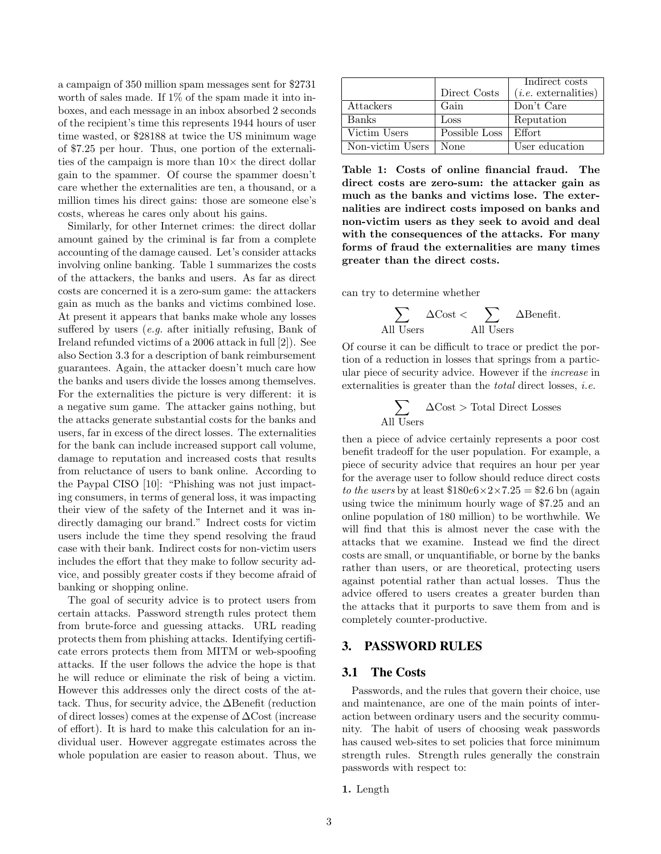a campaign of 350 million spam messages sent for \$2731 worth of sales made. If 1% of the spam made it into inboxes, and each message in an inbox absorbed 2 seconds of the recipient's time this represents 1944 hours of user time wasted, or \$28188 at twice the US minimum wage of \$7.25 per hour. Thus, one portion of the externalities of the campaign is more than  $10\times$  the direct dollar gain to the spammer. Of course the spammer doesn't care whether the externalities are ten, a thousand, or a million times his direct gains: those are someone else's costs, whereas he cares only about his gains.

Similarly, for other Internet crimes: the direct dollar amount gained by the criminal is far from a complete accounting of the damage caused. Let's consider attacks involving online banking. Table 1 summarizes the costs of the attackers, the banks and users. As far as direct costs are concerned it is a zero-sum game: the attackers gain as much as the banks and victims combined lose. At present it appears that banks make whole any losses suffered by users (e.g. after initially refusing, Bank of Ireland refunded victims of a 2006 attack in full [2]). See also Section 3.3 for a description of bank reimbursement guarantees. Again, the attacker doesn't much care how the banks and users divide the losses among themselves. For the externalities the picture is very different: it is a negative sum game. The attacker gains nothing, but the attacks generate substantial costs for the banks and users, far in excess of the direct losses. The externalities for the bank can include increased support call volume, damage to reputation and increased costs that results from reluctance of users to bank online. According to the Paypal CISO [10]: "Phishing was not just impacting consumers, in terms of general loss, it was impacting their view of the safety of the Internet and it was indirectly damaging our brand." Indrect costs for victim users include the time they spend resolving the fraud case with their bank. Indirect costs for non-victim users includes the effort that they make to follow security advice, and possibly greater costs if they become afraid of banking or shopping online.

The goal of security advice is to protect users from certain attacks. Password strength rules protect them from brute-force and guessing attacks. URL reading protects them from phishing attacks. Identifying certificate errors protects them from MITM or web-spoofing attacks. If the user follows the advice the hope is that he will reduce or eliminate the risk of being a victim. However this addresses only the direct costs of the attack. Thus, for security advice, the ∆Benefit (reduction of direct losses) comes at the expense of ∆Cost (increase of effort). It is hard to make this calculation for an individual user. However aggregate estimates across the whole population are easier to reason about. Thus, we

|                  |               | Indirect costs         |
|------------------|---------------|------------------------|
|                  | Direct Costs  | $(i.e.$ externalities) |
| Attackers        | Gain          | Don't Care             |
| Banks            | Loss          | Reputation             |
| Victim Users     | Possible Loss | Effort.                |
| Non-victim Users | None          | User education         |

Table 1: Costs of online financial fraud. The direct costs are zero-sum: the attacker gain as much as the banks and victims lose. The externalities are indirect costs imposed on banks and non-victim users as they seek to avoid and deal with the consequences of the attacks. For many forms of fraud the externalities are many times greater than the direct costs.

can try to determine whether

$$
\sum_{\text{All Users}} \Delta \text{Cost} < \sum_{\text{All Users}} \Delta \text{Benefit}.
$$

Of course it can be difficult to trace or predict the portion of a reduction in losses that springs from a particular piece of security advice. However if the increase in externalities is greater than the *total* direct losses, *i.e.* 

$$
\sum_{\text{All Users}} \Delta \text{Cost} > \text{Total Direct Losses}
$$

then a piece of advice certainly represents a poor cost benefit tradeoff for the user population. For example, a piece of security advice that requires an hour per year for the average user to follow should reduce direct costs to the users by at least  $$180e6 \times 2 \times 7.25 = $2.6$  bn (again using twice the minimum hourly wage of \$7.25 and an online population of 180 million) to be worthwhile. We will find that this is almost never the case with the attacks that we examine. Instead we find the direct costs are small, or unquantifiable, or borne by the banks rather than users, or are theoretical, protecting users against potential rather than actual losses. Thus the advice offered to users creates a greater burden than the attacks that it purports to save them from and is completely counter-productive.

# 3. PASSWORD RULES

#### 3.1 The Costs

Passwords, and the rules that govern their choice, use and maintenance, are one of the main points of interaction between ordinary users and the security community. The habit of users of choosing weak passwords has caused web-sites to set policies that force minimum strength rules. Strength rules generally the constrain passwords with respect to:

1. Length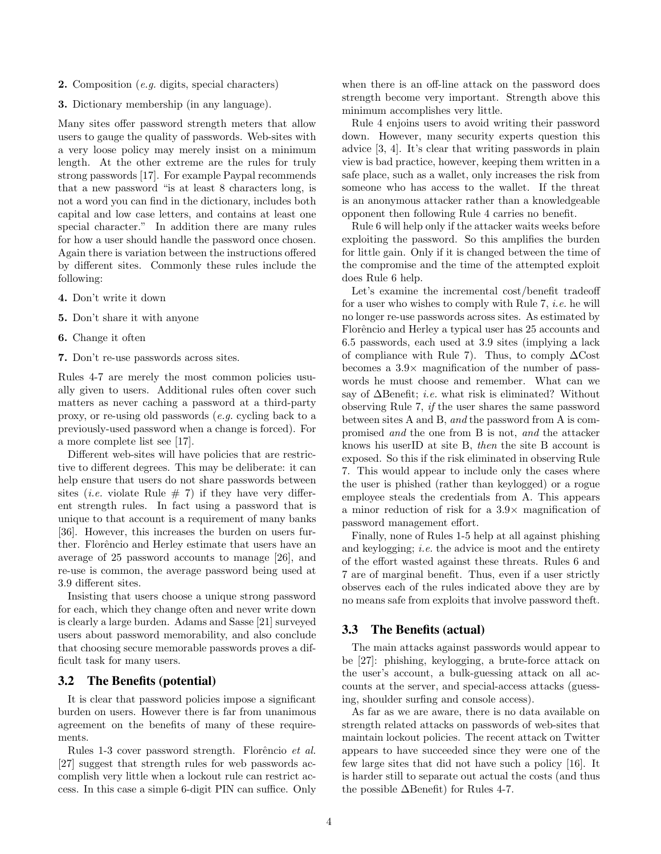- 2. Composition (e.g. digits, special characters)
- 3. Dictionary membership (in any language).

Many sites offer password strength meters that allow users to gauge the quality of passwords. Web-sites with a very loose policy may merely insist on a minimum length. At the other extreme are the rules for truly strong passwords [17]. For example Paypal recommends that a new password "is at least 8 characters long, is not a word you can find in the dictionary, includes both capital and low case letters, and contains at least one special character." In addition there are many rules for how a user should handle the password once chosen. Again there is variation between the instructions offered by different sites. Commonly these rules include the following:

- 4. Don't write it down
- 5. Don't share it with anyone
- 6. Change it often
- 7. Don't re-use passwords across sites.

Rules 4-7 are merely the most common policies usually given to users. Additional rules often cover such matters as never caching a password at a third-party proxy, or re-using old passwords (e.g. cycling back to a previously-used password when a change is forced). For a more complete list see [17].

Different web-sites will have policies that are restrictive to different degrees. This may be deliberate: it can help ensure that users do not share passwords between sites (*i.e.* violate Rule  $# 7$ ) if they have very different strength rules. In fact using a password that is unique to that account is a requirement of many banks [36]. However, this increases the burden on users further. Florêncio and Herley estimate that users have an average of 25 password accounts to manage [26], and re-use is common, the average password being used at 3.9 different sites.

Insisting that users choose a unique strong password for each, which they change often and never write down is clearly a large burden. Adams and Sasse [21] surveyed users about password memorability, and also conclude that choosing secure memorable passwords proves a difficult task for many users.

# 3.2 The Benefits (potential)

It is clear that password policies impose a significant burden on users. However there is far from unanimous agreement on the benefits of many of these requirements.

Rules 1-3 cover password strength. Florêncio et al. [27] suggest that strength rules for web passwords accomplish very little when a lockout rule can restrict access. In this case a simple 6-digit PIN can suffice. Only

when there is an off-line attack on the password does strength become very important. Strength above this minimum accomplishes very little.

Rule 4 enjoins users to avoid writing their password down. However, many security experts question this advice [3, 4]. It's clear that writing passwords in plain view is bad practice, however, keeping them written in a safe place, such as a wallet, only increases the risk from someone who has access to the wallet. If the threat is an anonymous attacker rather than a knowledgeable opponent then following Rule 4 carries no benefit.

Rule 6 will help only if the attacker waits weeks before exploiting the password. So this amplifies the burden for little gain. Only if it is changed between the time of the compromise and the time of the attempted exploit does Rule 6 help.

Let's examine the incremental cost/benefit tradeoff for a user who wishes to comply with Rule 7, i.e. he will no longer re-use passwords across sites. As estimated by Florêncio and Herley a typical user has 25 accounts and 6.5 passwords, each used at 3.9 sites (implying a lack of compliance with Rule 7). Thus, to comply  $\Delta$ Cost becomes a 3.9× magnification of the number of passwords he must choose and remember. What can we say of  $\Delta$ Benefit; *i.e.* what risk is eliminated? Without observing Rule 7, if the user shares the same password between sites A and B, and the password from A is compromised and the one from B is not, and the attacker knows his userID at site B, then the site B account is exposed. So this if the risk eliminated in observing Rule 7. This would appear to include only the cases where the user is phished (rather than keylogged) or a rogue employee steals the credentials from A. This appears a minor reduction of risk for a 3.9× magnification of password management effort.

Finally, none of Rules 1-5 help at all against phishing and keylogging; *i.e.* the advice is moot and the entirety of the effort wasted against these threats. Rules 6 and 7 are of marginal benefit. Thus, even if a user strictly observes each of the rules indicated above they are by no means safe from exploits that involve password theft.

#### 3.3 The Benefits (actual)

The main attacks against passwords would appear to be [27]: phishing, keylogging, a brute-force attack on the user's account, a bulk-guessing attack on all accounts at the server, and special-access attacks (guessing, shoulder surfing and console access).

As far as we are aware, there is no data available on strength related attacks on passwords of web-sites that maintain lockout policies. The recent attack on Twitter appears to have succeeded since they were one of the few large sites that did not have such a policy [16]. It is harder still to separate out actual the costs (and thus the possible ∆Benefit) for Rules 4-7.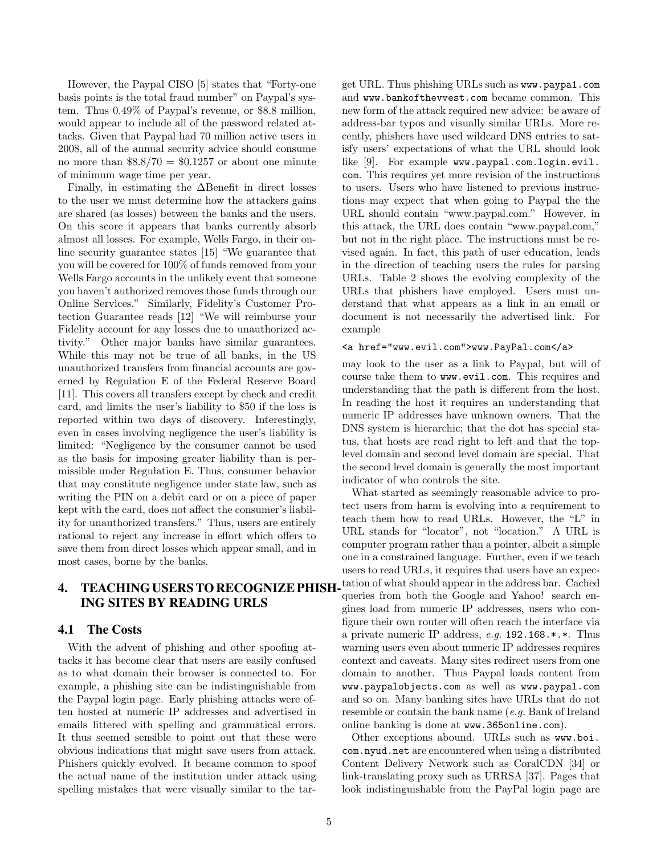However, the Paypal CISO [5] states that "Forty-one basis points is the total fraud number" on Paypal's system. Thus 0.49% of Paypal's revenue, or \$8.8 million, would appear to include all of the password related attacks. Given that Paypal had 70 million active users in 2008, all of the annual security advice should consume no more than  $8.8/70 = 0.1257$  or about one minute of minimum wage time per year.

Finally, in estimating the ∆Benefit in direct losses to the user we must determine how the attackers gains are shared (as losses) between the banks and the users. On this score it appears that banks currently absorb almost all losses. For example, Wells Fargo, in their online security guarantee states [15] "We guarantee that you will be covered for 100% of funds removed from your Wells Fargo accounts in the unlikely event that someone you haven't authorized removes those funds through our Online Services." Similarly, Fidelity's Customer Protection Guarantee reads [12] "We will reimburse your Fidelity account for any losses due to unauthorized activity." Other major banks have similar guarantees. While this may not be true of all banks, in the US unauthorized transfers from financial accounts are governed by Regulation E of the Federal Reserve Board [11]. This covers all transfers except by check and credit card, and limits the user's liability to \$50 if the loss is reported within two days of discovery. Interestingly, even in cases involving negligence the user's liability is limited: "Negligence by the consumer cannot be used as the basis for imposing greater liability than is permissible under Regulation E. Thus, consumer behavior that may constitute negligence under state law, such as writing the PIN on a debit card or on a piece of paper kept with the card, does not affect the consumer's liability for unauthorized transfers." Thus, users are entirely rational to reject any increase in effort which offers to save them from direct losses which appear small, and in most cases, borne by the banks.

# 4. TEACHING USERS TO RECOGNIZE PHISH-ING SITES BY READING URLS

#### 4.1 The Costs

With the advent of phishing and other spoofing attacks it has become clear that users are easily confused as to what domain their browser is connected to. For example, a phishing site can be indistinguishable from the Paypal login page. Early phishing attacks were often hosted at numeric IP addresses and advertised in emails littered with spelling and grammatical errors. It thus seemed sensible to point out that these were obvious indications that might save users from attack. Phishers quickly evolved. It became common to spoof the actual name of the institution under attack using spelling mistakes that were visually similar to the target URL. Thus phishing URLs such as www.paypa1.com and www.bankofthevvest.com became common. This new form of the attack required new advice: be aware of address-bar typos and visually similar URLs. More recently, phishers have used wildcard DNS entries to satisfy users' expectations of what the URL should look like [9]. For example www.paypal.com.login.evil. com. This requires yet more revision of the instructions to users. Users who have listened to previous instructions may expect that when going to Paypal the the URL should contain "www.paypal.com." However, in this attack, the URL does contain "www.paypal.com," but not in the right place. The instructions must be revised again. In fact, this path of user education, leads in the direction of teaching users the rules for parsing URLs. Table 2 shows the evolving complexity of the URLs that phishers have employed. Users must understand that what appears as a link in an email or document is not necessarily the advertised link. For example

#### <a href="www.evil.com">www.PayPal.com</a>

may look to the user as a link to Paypal, but will of course take them to www.evil.com. This requires and understanding that the path is different from the host. In reading the host it requires an understanding that numeric IP addresses have unknown owners. That the DNS system is hierarchic; that the dot has special status, that hosts are read right to left and that the toplevel domain and second level domain are special. That the second level domain is generally the most important indicator of who controls the site.

What started as seemingly reasonable advice to protect users from harm is evolving into a requirement to teach them how to read URLs. However, the "L" in URL stands for "locator", not "location." A URL is computer program rather than a pointer, albeit a simple one in a constrained language. Further, even if we teach users to read URLs, it requires that users have an expectation of what should appear in the address bar. Cached queries from both the Google and Yahoo! search engines load from numeric IP addresses, users who configure their own router will often reach the interface via a private numeric IP address, e.g. 192.168.\*.\*. Thus warning users even about numeric IP addresses requires context and caveats. Many sites redirect users from one domain to another. Thus Paypal loads content from www.paypalobjects.com as well as www.paypal.com and so on. Many banking sites have URLs that do not resemble or contain the bank name (e.g. Bank of Ireland online banking is done at www.365online.com).

Other exceptions abound. URLs such as www.boi. com.nyud.net are encountered when using a distributed Content Delivery Network such as CoralCDN [34] or link-translating proxy such as URRSA [37]. Pages that look indistinguishable from the PayPal login page are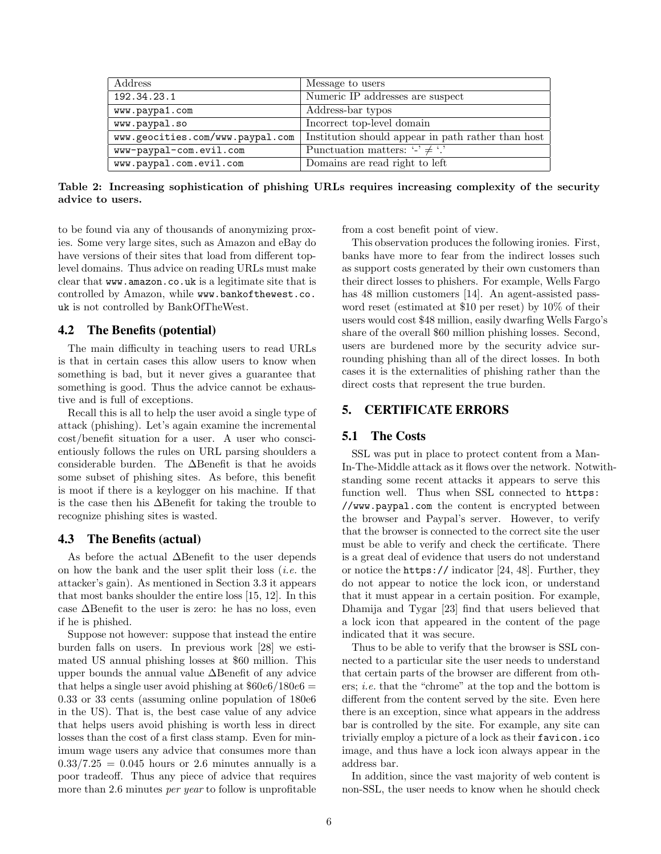| Address                          | Message to users                                   |  |
|----------------------------------|----------------------------------------------------|--|
| 192.34.23.1                      | Numeric IP addresses are suspect                   |  |
| www.paypa1.com                   | Address-bar typos                                  |  |
| www.paypal.so                    | Incorrect top-level domain                         |  |
| www.geocities.com/www.paypal.com | Institution should appear in path rather than host |  |
| www-paypal-com.evil.com          | Punctuation matters: $\cdot$ $\neq$ $\cdot$ .      |  |
| www.paypal.com.evil.com          | Domains are read right to left                     |  |

Table 2: Increasing sophistication of phishing URLs requires increasing complexity of the security advice to users.

to be found via any of thousands of anonymizing proxies. Some very large sites, such as Amazon and eBay do have versions of their sites that load from different toplevel domains. Thus advice on reading URLs must make clear that www.amazon.co.uk is a legitimate site that is controlled by Amazon, while www.bankofthewest.co. uk is not controlled by BankOfTheWest.

#### 4.2 The Benefits (potential)

The main difficulty in teaching users to read URLs is that in certain cases this allow users to know when something is bad, but it never gives a guarantee that something is good. Thus the advice cannot be exhaustive and is full of exceptions.

Recall this is all to help the user avoid a single type of attack (phishing). Let's again examine the incremental cost/benefit situation for a user. A user who conscientiously follows the rules on URL parsing shoulders a considerable burden. The ∆Benefit is that he avoids some subset of phishing sites. As before, this benefit is moot if there is a keylogger on his machine. If that is the case then his ∆Benefit for taking the trouble to recognize phishing sites is wasted.

#### 4.3 The Benefits (actual)

As before the actual ∆Benefit to the user depends on how the bank and the user split their loss  $(i.e.$  the attacker's gain). As mentioned in Section 3.3 it appears that most banks shoulder the entire loss [15, 12]. In this case ∆Benefit to the user is zero: he has no loss, even if he is phished.

Suppose not however: suppose that instead the entire burden falls on users. In previous work [28] we estimated US annual phishing losses at \$60 million. This upper bounds the annual value ∆Benefit of any advice that helps a single user avoid phishing at  $$60e6/180e6 =$ 0.33 or 33 cents (assuming online population of 180e6 in the US). That is, the best case value of any advice that helps users avoid phishing is worth less in direct losses than the cost of a first class stamp. Even for minimum wage users any advice that consumes more than  $0.33/7.25 = 0.045$  hours or 2.6 minutes annually is a poor tradeoff. Thus any piece of advice that requires more than 2.6 minutes *per year* to follow is unprofitable from a cost benefit point of view.

This observation produces the following ironies. First, banks have more to fear from the indirect losses such as support costs generated by their own customers than their direct losses to phishers. For example, Wells Fargo has 48 million customers [14]. An agent-assisted password reset (estimated at \$10 per reset) by 10% of their users would cost \$48 million, easily dwarfing Wells Fargo's share of the overall \$60 million phishing losses. Second, users are burdened more by the security advice surrounding phishing than all of the direct losses. In both cases it is the externalities of phishing rather than the direct costs that represent the true burden.

## 5. CERTIFICATE ERRORS

#### 5.1 The Costs

SSL was put in place to protect content from a Man-In-The-Middle attack as it flows over the network. Notwithstanding some recent attacks it appears to serve this function well. Thus when SSL connected to https: //www.paypal.com the content is encrypted between the browser and Paypal's server. However, to verify that the browser is connected to the correct site the user must be able to verify and check the certificate. There is a great deal of evidence that users do not understand or notice the https:// indicator [24, 48]. Further, they do not appear to notice the lock icon, or understand that it must appear in a certain position. For example, Dhamija and Tygar [23] find that users believed that a lock icon that appeared in the content of the page indicated that it was secure.

Thus to be able to verify that the browser is SSL connected to a particular site the user needs to understand that certain parts of the browser are different from others; i.e. that the "chrome" at the top and the bottom is different from the content served by the site. Even here there is an exception, since what appears in the address bar is controlled by the site. For example, any site can trivially employ a picture of a lock as their favicon.ico image, and thus have a lock icon always appear in the address bar.

In addition, since the vast majority of web content is non-SSL, the user needs to know when he should check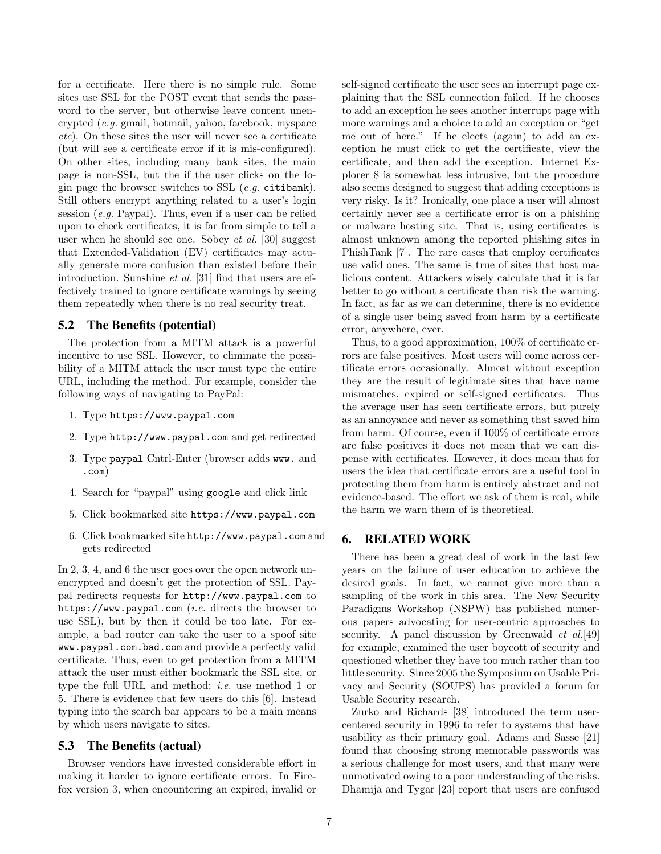for a certificate. Here there is no simple rule. Some sites use SSL for the POST event that sends the password to the server, but otherwise leave content unencrypted (e.g. gmail, hotmail, yahoo, facebook, myspace etc). On these sites the user will never see a certificate (but will see a certificate error if it is mis-configured). On other sites, including many bank sites, the main page is non-SSL, but the if the user clicks on the login page the browser switches to SSL  $(e.g.,$  citibank). Still others encrypt anything related to a user's login session  $(e.g.$  Paypal). Thus, even if a user can be relied upon to check certificates, it is far from simple to tell a user when he should see one. Sobey et al. [30] suggest that Extended-Validation (EV) certificates may actually generate more confusion than existed before their introduction. Sunshine et al. [31] find that users are effectively trained to ignore certificate warnings by seeing them repeatedly when there is no real security treat.

#### 5.2 The Benefits (potential)

The protection from a MITM attack is a powerful incentive to use SSL. However, to eliminate the possibility of a MITM attack the user must type the entire URL, including the method. For example, consider the following ways of navigating to PayPal:

- 1. Type https://www.paypal.com
- 2. Type http://www.paypal.com and get redirected
- 3. Type paypal Cntrl-Enter (browser adds www. and .com)
- 4. Search for "paypal" using google and click link
- 5. Click bookmarked site https://www.paypal.com
- 6. Click bookmarked site http://www.paypal.com and gets redirected

In 2, 3, 4, and 6 the user goes over the open network unencrypted and doesn't get the protection of SSL. Paypal redirects requests for http://www.paypal.com to https://www.paypal.com (*i.e.* directs the browser to use SSL), but by then it could be too late. For example, a bad router can take the user to a spoof site www.paypal.com.bad.com and provide a perfectly valid certificate. Thus, even to get protection from a MITM attack the user must either bookmark the SSL site, or type the full URL and method; i.e. use method 1 or 5. There is evidence that few users do this [6]. Instead typing into the search bar appears to be a main means by which users navigate to sites.

## 5.3 The Benefits (actual)

Browser vendors have invested considerable effort in making it harder to ignore certificate errors. In Firefox version 3, when encountering an expired, invalid or self-signed certificate the user sees an interrupt page explaining that the SSL connection failed. If he chooses to add an exception he sees another interrupt page with more warnings and a choice to add an exception or "get me out of here." If he elects (again) to add an exception he must click to get the certificate, view the certificate, and then add the exception. Internet Explorer 8 is somewhat less intrusive, but the procedure also seems designed to suggest that adding exceptions is very risky. Is it? Ironically, one place a user will almost certainly never see a certificate error is on a phishing or malware hosting site. That is, using certificates is almost unknown among the reported phishing sites in PhishTank [7]. The rare cases that employ certificates use valid ones. The same is true of sites that host malicious content. Attackers wisely calculate that it is far better to go without a certificate than risk the warning. In fact, as far as we can determine, there is no evidence of a single user being saved from harm by a certificate error, anywhere, ever.

Thus, to a good approximation, 100% of certificate errors are false positives. Most users will come across certificate errors occasionally. Almost without exception they are the result of legitimate sites that have name mismatches, expired or self-signed certificates. Thus the average user has seen certificate errors, but purely as an annoyance and never as something that saved him from harm. Of course, even if 100% of certificate errors are false positives it does not mean that we can dispense with certificates. However, it does mean that for users the idea that certificate errors are a useful tool in protecting them from harm is entirely abstract and not evidence-based. The effort we ask of them is real, while the harm we warn them of is theoretical.

# 6. RELATED WORK

There has been a great deal of work in the last few years on the failure of user education to achieve the desired goals. In fact, we cannot give more than a sampling of the work in this area. The New Security Paradigms Workshop (NSPW) has published numerous papers advocating for user-centric approaches to security. A panel discussion by Greenwald  $et \ al. [49]$ for example, examined the user boycott of security and questioned whether they have too much rather than too little security. Since 2005 the Symposium on Usable Privacy and Security (SOUPS) has provided a forum for Usable Security research.

Zurko and Richards [38] introduced the term usercentered security in 1996 to refer to systems that have usability as their primary goal. Adams and Sasse [21] found that choosing strong memorable passwords was a serious challenge for most users, and that many were unmotivated owing to a poor understanding of the risks. Dhamija and Tygar [23] report that users are confused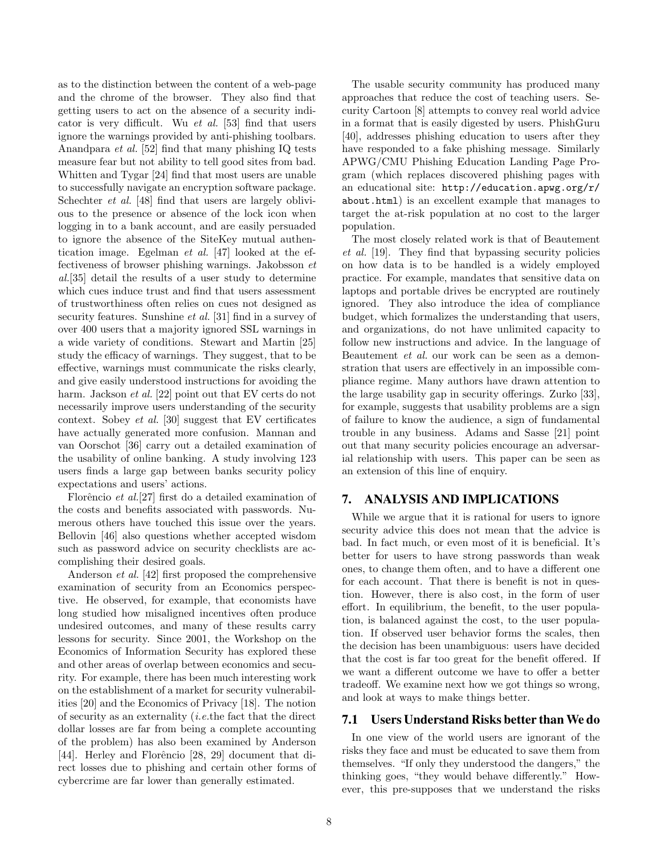as to the distinction between the content of a web-page and the chrome of the browser. They also find that getting users to act on the absence of a security indicator is very difficult. Wu et al. [53] find that users ignore the warnings provided by anti-phishing toolbars. Anandpara et al. [52] find that many phishing IQ tests measure fear but not ability to tell good sites from bad. Whitten and Tygar [24] find that most users are unable to successfully navigate an encryption software package. Schechter *et al.* [48] find that users are largely oblivious to the presence or absence of the lock icon when logging in to a bank account, and are easily persuaded to ignore the absence of the SiteKey mutual authentication image. Egelman et al. [47] looked at the effectiveness of browser phishing warnings. Jakobsson et al.[35] detail the results of a user study to determine which cues induce trust and find that users assessment of trustworthiness often relies on cues not designed as security features. Sunshine et al. [31] find in a survey of over 400 users that a majority ignored SSL warnings in a wide variety of conditions. Stewart and Martin [25] study the efficacy of warnings. They suggest, that to be effective, warnings must communicate the risks clearly, and give easily understood instructions for avoiding the harm. Jackson *et al.* [22] point out that EV certs do not necessarily improve users understanding of the security context. Sobey et al. [30] suggest that EV certificates have actually generated more confusion. Mannan and van Oorschot [36] carry out a detailed examination of the usability of online banking. A study involving 123 users finds a large gap between banks security policy expectations and users' actions.

Florêncio et al.<sup>[27]</sup> first do a detailed examination of the costs and benefits associated with passwords. Numerous others have touched this issue over the years. Bellovin [46] also questions whether accepted wisdom such as password advice on security checklists are accomplishing their desired goals.

Anderson et al. [42] first proposed the comprehensive examination of security from an Economics perspective. He observed, for example, that economists have long studied how misaligned incentives often produce undesired outcomes, and many of these results carry lessons for security. Since 2001, the Workshop on the Economics of Information Security has explored these and other areas of overlap between economics and security. For example, there has been much interesting work on the establishment of a market for security vulnerabilities [20] and the Economics of Privacy [18]. The notion of security as an externality (i.e.the fact that the direct dollar losses are far from being a complete accounting of the problem) has also been examined by Anderson [44]. Herley and Florêncio [28, 29] document that direct losses due to phishing and certain other forms of cybercrime are far lower than generally estimated.

The usable security community has produced many approaches that reduce the cost of teaching users. Security Cartoon [8] attempts to convey real world advice in a format that is easily digested by users. PhishGuru [40], addresses phishing education to users after they have responded to a fake phishing message. Similarly APWG/CMU Phishing Education Landing Page Program (which replaces discovered phishing pages with an educational site: http://education.apwg.org/r/ about.html) is an excellent example that manages to target the at-risk population at no cost to the larger population.

The most closely related work is that of Beautement et al. [19]. They find that bypassing security policies on how data is to be handled is a widely employed practice. For example, mandates that sensitive data on laptops and portable drives be encrypted are routinely ignored. They also introduce the idea of compliance budget, which formalizes the understanding that users, and organizations, do not have unlimited capacity to follow new instructions and advice. In the language of Beautement et al. our work can be seen as a demonstration that users are effectively in an impossible compliance regime. Many authors have drawn attention to the large usability gap in security offerings. Zurko [33], for example, suggests that usability problems are a sign of failure to know the audience, a sign of fundamental trouble in any business. Adams and Sasse [21] point out that many security policies encourage an adversarial relationship with users. This paper can be seen as an extension of this line of enquiry.

## 7. ANALYSIS AND IMPLICATIONS

While we argue that it is rational for users to ignore security advice this does not mean that the advice is bad. In fact much, or even most of it is beneficial. It's better for users to have strong passwords than weak ones, to change them often, and to have a different one for each account. That there is benefit is not in question. However, there is also cost, in the form of user effort. In equilibrium, the benefit, to the user population, is balanced against the cost, to the user population. If observed user behavior forms the scales, then the decision has been unambiguous: users have decided that the cost is far too great for the benefit offered. If we want a different outcome we have to offer a better tradeoff. We examine next how we got things so wrong, and look at ways to make things better.

### 7.1 Users Understand Risks better than We do

In one view of the world users are ignorant of the risks they face and must be educated to save them from themselves. "If only they understood the dangers," the thinking goes, "they would behave differently." However, this pre-supposes that we understand the risks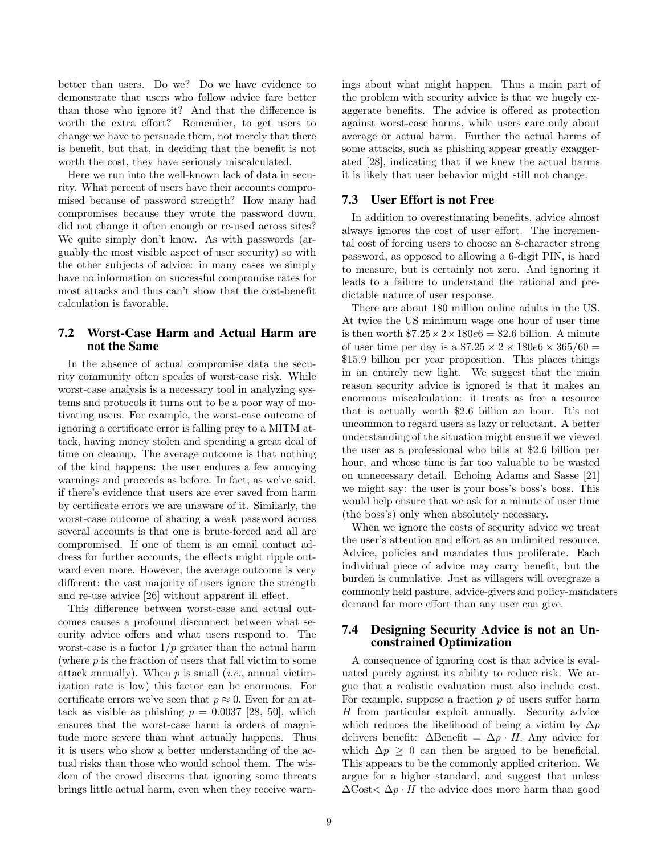better than users. Do we? Do we have evidence to demonstrate that users who follow advice fare better than those who ignore it? And that the difference is worth the extra effort? Remember, to get users to change we have to persuade them, not merely that there is benefit, but that, in deciding that the benefit is not worth the cost, they have seriously miscalculated.

Here we run into the well-known lack of data in security. What percent of users have their accounts compromised because of password strength? How many had compromises because they wrote the password down, did not change it often enough or re-used across sites? We quite simply don't know. As with passwords (arguably the most visible aspect of user security) so with the other subjects of advice: in many cases we simply have no information on successful compromise rates for most attacks and thus can't show that the cost-benefit calculation is favorable.

# 7.2 Worst-Case Harm and Actual Harm are not the Same

In the absence of actual compromise data the security community often speaks of worst-case risk. While worst-case analysis is a necessary tool in analyzing systems and protocols it turns out to be a poor way of motivating users. For example, the worst-case outcome of ignoring a certificate error is falling prey to a MITM attack, having money stolen and spending a great deal of time on cleanup. The average outcome is that nothing of the kind happens: the user endures a few annoying warnings and proceeds as before. In fact, as we've said, if there's evidence that users are ever saved from harm by certificate errors we are unaware of it. Similarly, the worst-case outcome of sharing a weak password across several accounts is that one is brute-forced and all are compromised. If one of them is an email contact address for further accounts, the effects might ripple outward even more. However, the average outcome is very different: the vast majority of users ignore the strength and re-use advice [26] without apparent ill effect.

This difference between worst-case and actual outcomes causes a profound disconnect between what security advice offers and what users respond to. The worst-case is a factor  $1/p$  greater than the actual harm (where  $p$  is the fraction of users that fall victim to some attack annually). When  $p$  is small (*i.e.*, annual victimization rate is low) this factor can be enormous. For certificate errors we've seen that  $p \approx 0$ . Even for an attack as visible as phishing  $p = 0.0037$  [28, 50], which ensures that the worst-case harm is orders of magnitude more severe than what actually happens. Thus it is users who show a better understanding of the actual risks than those who would school them. The wisdom of the crowd discerns that ignoring some threats brings little actual harm, even when they receive warnings about what might happen. Thus a main part of the problem with security advice is that we hugely exaggerate benefits. The advice is offered as protection against worst-case harms, while users care only about average or actual harm. Further the actual harms of some attacks, such as phishing appear greatly exaggerated [28], indicating that if we knew the actual harms it is likely that user behavior might still not change.

#### 7.3 User Effort is not Free

In addition to overestimating benefits, advice almost always ignores the cost of user effort. The incremental cost of forcing users to choose an 8-character strong password, as opposed to allowing a 6-digit PIN, is hard to measure, but is certainly not zero. And ignoring it leads to a failure to understand the rational and predictable nature of user response.

There are about 180 million online adults in the US. At twice the US minimum wage one hour of user time is then worth  $7.25 \times 2 \times 180e6 = $2.6$  billion. A minute of user time per day is a  $$7.25 \times 2 \times 180e6 \times 365/60 =$ \$15.9 billion per year proposition. This places things in an entirely new light. We suggest that the main reason security advice is ignored is that it makes an enormous miscalculation: it treats as free a resource that is actually worth \$2.6 billion an hour. It's not uncommon to regard users as lazy or reluctant. A better understanding of the situation might ensue if we viewed the user as a professional who bills at \$2.6 billion per hour, and whose time is far too valuable to be wasted on unnecessary detail. Echoing Adams and Sasse [21] we might say: the user is your boss's boss's boss. This would help ensure that we ask for a minute of user time (the boss's) only when absolutely necessary.

When we ignore the costs of security advice we treat the user's attention and effort as an unlimited resource. Advice, policies and mandates thus proliferate. Each individual piece of advice may carry benefit, but the burden is cumulative. Just as villagers will overgraze a commonly held pasture, advice-givers and policy-mandaters demand far more effort than any user can give.

#### 7.4 Designing Security Advice is not an Unconstrained Optimization

A consequence of ignoring cost is that advice is evaluated purely against its ability to reduce risk. We argue that a realistic evaluation must also include cost. For example, suppose a fraction  $p$  of users suffer harm H from particular exploit annually. Security advice which reduces the likelihood of being a victim by  $\Delta p$ delivers benefit:  $\Delta$ Benefit =  $\Delta p \cdot H$ . Any advice for which  $\Delta p \geq 0$  can then be argued to be beneficial. This appears to be the commonly applied criterion. We argue for a higher standard, and suggest that unless  $\Delta \text{Cost} < \Delta p \cdot H$  the advice does more harm than good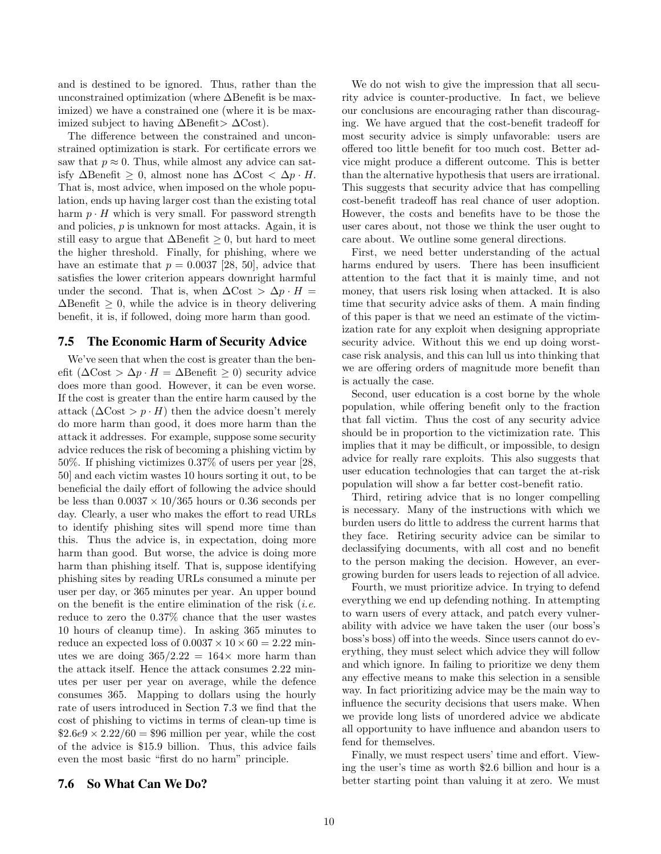and is destined to be ignored. Thus, rather than the unconstrained optimization (where ∆Benefit is be maximized) we have a constrained one (where it is be maximized subject to having ∆Benefit> ∆Cost).

The difference between the constrained and unconstrained optimization is stark. For certificate errors we saw that  $p \approx 0$ . Thus, while almost any advice can satisfy ∆Benefit ≥ 0, almost none has ∆Cost < ∆p · H. That is, most advice, when imposed on the whole population, ends up having larger cost than the existing total harm  $p \cdot H$  which is very small. For password strength and policies, p is unknown for most attacks. Again, it is still easy to argue that  $\Delta$ Benefit > 0, but hard to meet the higher threshold. Finally, for phishing, where we have an estimate that  $p = 0.0037$  [28, 50], advice that satisfies the lower criterion appears downright harmful under the second. That is, when  $\Delta \text{Cost} > \Delta p \cdot H =$  $\Delta$ Benefit > 0, while the advice is in theory delivering benefit, it is, if followed, doing more harm than good.

#### 7.5 The Economic Harm of Security Advice

We've seen that when the cost is greater than the benefit ( $\Delta \text{Cost} > \Delta p \cdot H = \Delta \text{Benefit} \geq 0$ ) security advice does more than good. However, it can be even worse. If the cost is greater than the entire harm caused by the attack  $(\Delta \text{Cost} > p \cdot H)$  then the advice doesn't merely do more harm than good, it does more harm than the attack it addresses. For example, suppose some security advice reduces the risk of becoming a phishing victim by 50%. If phishing victimizes 0.37% of users per year [28, 50] and each victim wastes 10 hours sorting it out, to be beneficial the daily effort of following the advice should be less than  $0.0037 \times 10/365$  hours or 0.36 seconds per day. Clearly, a user who makes the effort to read URLs to identify phishing sites will spend more time than this. Thus the advice is, in expectation, doing more harm than good. But worse, the advice is doing more harm than phishing itself. That is, suppose identifying phishing sites by reading URLs consumed a minute per user per day, or 365 minutes per year. An upper bound on the benefit is the entire elimination of the risk  $(i.e.$ reduce to zero the 0.37% chance that the user wastes 10 hours of cleanup time). In asking 365 minutes to reduce an expected loss of  $0.0037 \times 10 \times 60 = 2.22$  minutes we are doing  $365/2.22 = 164 \times$  more harm than the attack itself. Hence the attack consumes 2.22 minutes per user per year on average, while the defence consumes 365. Mapping to dollars using the hourly rate of users introduced in Section 7.3 we find that the cost of phishing to victims in terms of clean-up time is  $$2.6e9 \times 2.22/60 = $96$  million per year, while the cost of the advice is \$15.9 billion. Thus, this advice fails even the most basic "first do no harm" principle.

We do not wish to give the impression that all security advice is counter-productive. In fact, we believe our conclusions are encouraging rather than discouraging. We have argued that the cost-benefit tradeoff for most security advice is simply unfavorable: users are offered too little benefit for too much cost. Better advice might produce a different outcome. This is better than the alternative hypothesis that users are irrational. This suggests that security advice that has compelling cost-benefit tradeoff has real chance of user adoption. However, the costs and benefits have to be those the user cares about, not those we think the user ought to care about. We outline some general directions.

First, we need better understanding of the actual harms endured by users. There has been insufficient attention to the fact that it is mainly time, and not money, that users risk losing when attacked. It is also time that security advice asks of them. A main finding of this paper is that we need an estimate of the victimization rate for any exploit when designing appropriate security advice. Without this we end up doing worstcase risk analysis, and this can lull us into thinking that we are offering orders of magnitude more benefit than is actually the case.

Second, user education is a cost borne by the whole population, while offering benefit only to the fraction that fall victim. Thus the cost of any security advice should be in proportion to the victimization rate. This implies that it may be difficult, or impossible, to design advice for really rare exploits. This also suggests that user education technologies that can target the at-risk population will show a far better cost-benefit ratio.

Third, retiring advice that is no longer compelling is necessary. Many of the instructions with which we burden users do little to address the current harms that they face. Retiring security advice can be similar to declassifying documents, with all cost and no benefit to the person making the decision. However, an evergrowing burden for users leads to rejection of all advice.

Fourth, we must prioritize advice. In trying to defend everything we end up defending nothing. In attempting to warn users of every attack, and patch every vulnerability with advice we have taken the user (our boss's boss's boss) off into the weeds. Since users cannot do everything, they must select which advice they will follow and which ignore. In failing to prioritize we deny them any effective means to make this selection in a sensible way. In fact prioritizing advice may be the main way to influence the security decisions that users make. When we provide long lists of unordered advice we abdicate all opportunity to have influence and abandon users to fend for themselves.

Finally, we must respect users' time and effort. Viewing the user's time as worth \$2.6 billion and hour is a better starting point than valuing it at zero. We must

# 7.6 So What Can We Do?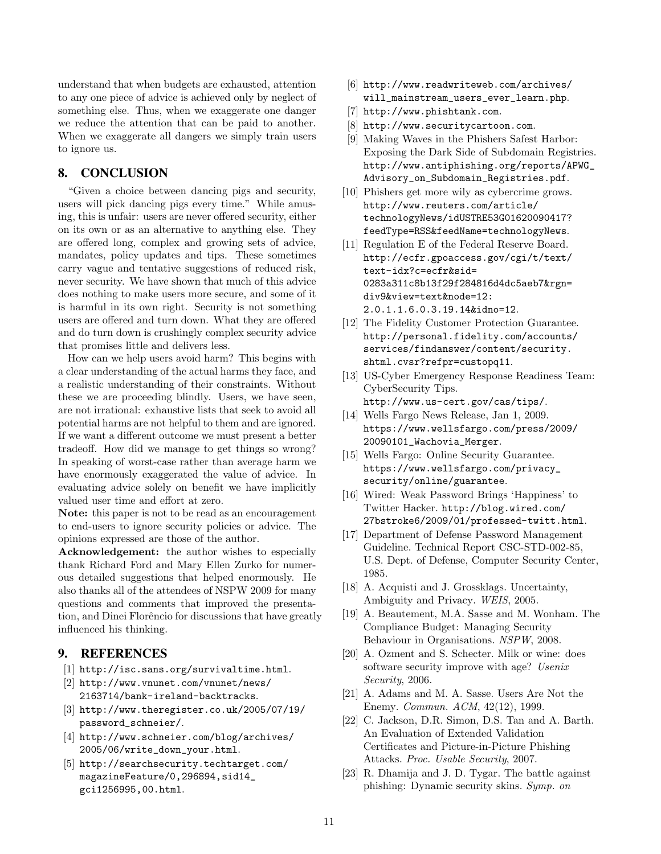understand that when budgets are exhausted, attention to any one piece of advice is achieved only by neglect of something else. Thus, when we exaggerate one danger we reduce the attention that can be paid to another. When we exaggerate all dangers we simply train users to ignore us.

# 8. CONCLUSION

"Given a choice between dancing pigs and security, users will pick dancing pigs every time." While amusing, this is unfair: users are never offered security, either on its own or as an alternative to anything else. They are offered long, complex and growing sets of advice, mandates, policy updates and tips. These sometimes carry vague and tentative suggestions of reduced risk, never security. We have shown that much of this advice does nothing to make users more secure, and some of it is harmful in its own right. Security is not something users are offered and turn down. What they are offered and do turn down is crushingly complex security advice that promises little and delivers less.

How can we help users avoid harm? This begins with a clear understanding of the actual harms they face, and a realistic understanding of their constraints. Without these we are proceeding blindly. Users, we have seen, are not irrational: exhaustive lists that seek to avoid all potential harms are not helpful to them and are ignored. If we want a different outcome we must present a better tradeoff. How did we manage to get things so wrong? In speaking of worst-case rather than average harm we have enormously exaggerated the value of advice. In evaluating advice solely on benefit we have implicitly valued user time and effort at zero.

Note: this paper is not to be read as an encouragement to end-users to ignore security policies or advice. The opinions expressed are those of the author.

Acknowledgement: the author wishes to especially thank Richard Ford and Mary Ellen Zurko for numerous detailed suggestions that helped enormously. He also thanks all of the attendees of NSPW 2009 for many questions and comments that improved the presentation, and Dinei Florêncio for discussions that have greatly influenced his thinking.

# 9. REFERENCES

- [1] http://isc.sans.org/survivaltime.html.
- [2] http://www.vnunet.com/vnunet/news/ 2163714/bank-ireland-backtracks.
- [3] http://www.theregister.co.uk/2005/07/19/ password\_schneier/.
- [4] http://www.schneier.com/blog/archives/ 2005/06/write\_down\_your.html.
- [5] http://searchsecurity.techtarget.com/ magazineFeature/0,296894,sid14\_ gci1256995,00.html.
- [6] http://www.readwriteweb.com/archives/ will\_mainstream\_users\_ever\_learn.php.
- [7] http://www.phishtank.com.
- [8] http://www.securitycartoon.com.
- [9] Making Waves in the Phishers Safest Harbor: Exposing the Dark Side of Subdomain Registries. http://www.antiphishing.org/reports/APWG\_ Advisory\_on\_Subdomain\_Registries.pdf.
- [10] Phishers get more wily as cybercrime grows. http://www.reuters.com/article/ technologyNews/idUSTRE53G01620090417? feedType=RSS&feedName=technologyNews.
- [11] Regulation E of the Federal Reserve Board. http://ecfr.gpoaccess.gov/cgi/t/text/ text-idx?c=ecfr&sid= 0283a311c8b13f29f284816d4dc5aeb7&rgn= div9&view=text&node=12: 2.0.1.1.6.0.3.19.14&idno=12.
- [12] The Fidelity Customer Protection Guarantee. http://personal.fidelity.com/accounts/ services/findanswer/content/security. shtml.cvsr?refpr=custopq11.
- [13] US-Cyber Emergency Response Readiness Team: CyberSecurity Tips. http://www.us-cert.gov/cas/tips/.
- [14] Wells Fargo News Release, Jan 1, 2009. https://www.wellsfargo.com/press/2009/ 20090101\_Wachovia\_Merger.
- [15] Wells Fargo: Online Security Guarantee. https://www.wellsfargo.com/privacy\_ security/online/guarantee.
- [16] Wired: Weak Password Brings 'Happiness' to Twitter Hacker. http://blog.wired.com/ 27bstroke6/2009/01/professed-twitt.html.
- [17] Department of Defense Password Management Guideline. Technical Report CSC-STD-002-85, U.S. Dept. of Defense, Computer Security Center, 1985.
- [18] A. Acquisti and J. Grossklags. Uncertainty, Ambiguity and Privacy. WEIS, 2005.
- [19] A. Beautement, M.A. Sasse and M. Wonham. The Compliance Budget: Managing Security Behaviour in Organisations. NSPW, 2008.
- [20] A. Ozment and S. Schecter. Milk or wine: does software security improve with age? Usenix Security, 2006.
- [21] A. Adams and M. A. Sasse. Users Are Not the Enemy. Commun. ACM, 42(12), 1999.
- [22] C. Jackson, D.R. Simon, D.S. Tan and A. Barth. An Evaluation of Extended Validation Certificates and Picture-in-Picture Phishing Attacks. Proc. Usable Security, 2007.
- [23] R. Dhamija and J. D. Tygar. The battle against phishing: Dynamic security skins. Symp. on